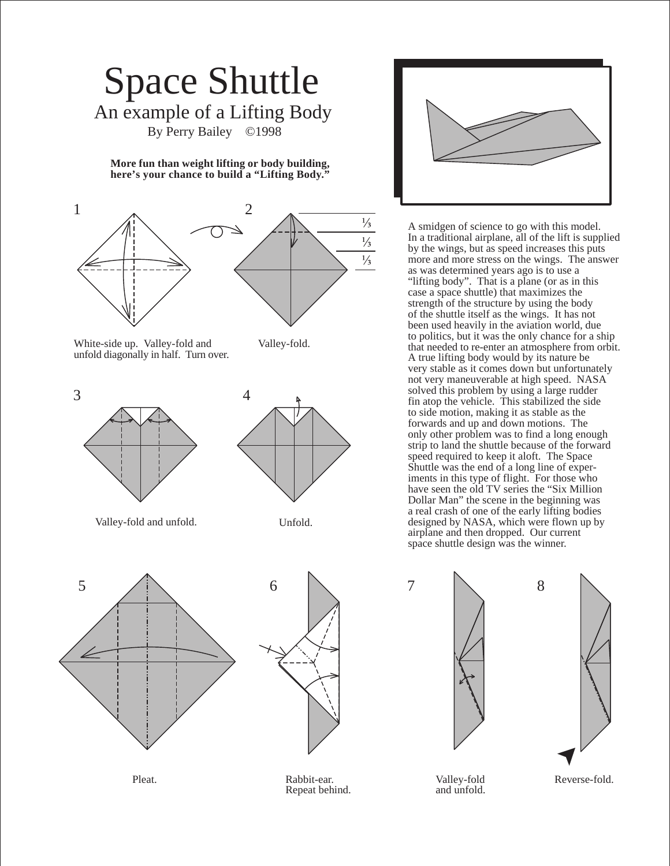## Space Shuttle An example of a Lifting Body By Perry Bailey ©1998

**More fun than weight lifting or body building, here's your chance to build a "Lifting Body."**





White-side up. Valley-fold and unfold diagonally in half. Turn over.

Valley-fold.



Valley-fold and unfold. Unfold.







Pleat. Rabbit-ear. Repeat behind.



A smidgen of science to go with this model. In a traditional airplane, all of the lift is supplied by the wings, but as speed increases this puts more and more stress on the wings. The answer as was determined years ago is to use a "lifting body". That is a plane (or as in this case a space shuttle) that maximizes the strength of the structure by using the body of the shuttle itself as the wings. It has not been used heavily in the aviation world, due to politics, but it was the only chance for a ship that needed to re-enter an atmosphere from orbit. A true lifting body would by its nature be very stable as it comes down but unfortunately not very maneuverable at high speed. NASA solved this problem by using a large rudder fin atop the vehicle. This stabilized the side to side motion, making it as stable as the forwards and up and down motions. The only other problem was to find a long enough strip to land the shuttle because of the forward speed required to keep it aloft. The Space Shuttle was the end of a long line of experiments in this type of flight. For those who have seen the old TV series the "Six Million Dollar Man" the scene in the beginning was a real crash of one of the early lifting bodies designed by NASA, which were flown up by airplane and then dropped. Our current space shuttle design was the winner.



Valley-fold and unfold.



Reverse-fold.